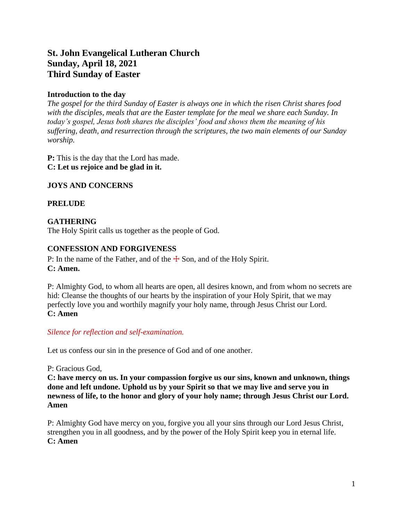# **St. John Evangelical Lutheran Church Sunday, April 18, 2021 Third Sunday of Easter**

## **Introduction to the day**

*The gospel for the third Sunday of Easter is always one in which the risen Christ shares food with the disciples, meals that are the Easter template for the meal we share each Sunday. In today's gospel, Jesus both shares the disciples' food and shows them the meaning of his suffering, death, and resurrection through the scriptures, the two main elements of our Sunday worship.*

**P:** This is the day that the Lord has made. **C: Let us rejoice and be glad in it.**

## **JOYS AND CONCERNS**

## **PRELUDE**

## **GATHERING**

The Holy Spirit calls us together as the people of God.

### **CONFESSION AND FORGIVENESS**

P: In the name of the Father, and of the  $\pm$  Son, and of the Holy Spirit. **C: Amen.**

P: Almighty God, to whom all hearts are open, all desires known, and from whom no secrets are hid: Cleanse the thoughts of our hearts by the inspiration of your Holy Spirit, that we may perfectly love you and worthily magnify your holy name, through Jesus Christ our Lord. **C: Amen**

#### *Silence for reflection and self-examination.*

Let us confess our sin in the presence of God and of one another.

## P: Gracious God,

**C: have mercy on us. In your compassion forgive us our sins, known and unknown, things done and left undone. Uphold us by your Spirit so that we may live and serve you in newness of life, to the honor and glory of your holy name; through Jesus Christ our Lord. Amen**

P: Almighty God have mercy on you, forgive you all your sins through our Lord Jesus Christ, strengthen you in all goodness, and by the power of the Holy Spirit keep you in eternal life. **C: Amen**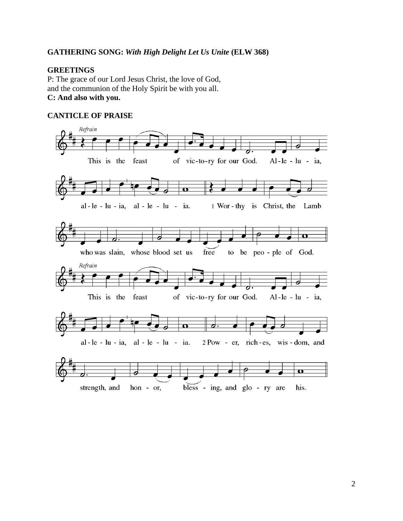### **GATHERING SONG:** *With High Delight Let Us Unite* **(ELW 368)**

#### **GREETINGS**

P: The grace of our Lord Jesus Christ, the love of God, and the communion of the Holy Spirit be with you all. **C: And also with you.**

#### **CANTICLE OF PRAISE**

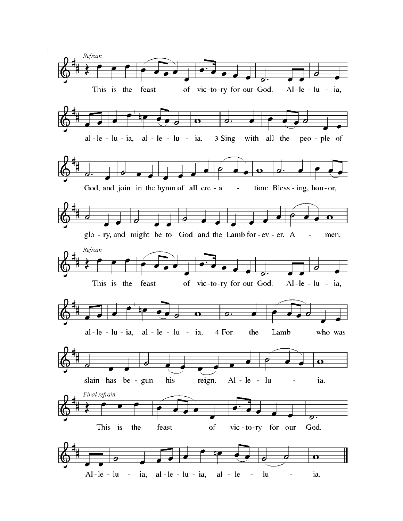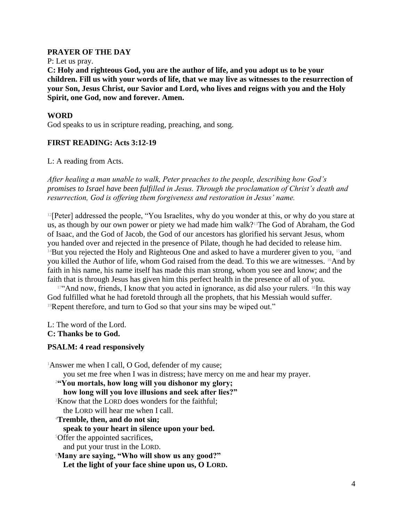#### **PRAYER OF THE DAY**

P: Let us pray.

**C: Holy and righteous God, you are the author of life, and you adopt us to be your children. Fill us with your words of life, that we may live as witnesses to the resurrection of your Son, Jesus Christ, our Savior and Lord, who lives and reigns with you and the Holy Spirit, one God, now and forever. Amen.**

### **WORD**

God speaks to us in scripture reading, preaching, and song.

### **FIRST READING: Acts 3:12-19**

L: A reading from Acts.

*After healing a man unable to walk, Peter preaches to the people, describing how God's promises to Israel have been fulfilled in Jesus. Through the proclamation of Christ's death and resurrection, God is offering them forgiveness and restoration in Jesus' name.*

<sup>12</sup>[Peter] addressed the people, "You Israelites, why do you wonder at this, or why do you stare at us, as though by our own power or piety we had made him walk?13The God of Abraham, the God of Isaac, and the God of Jacob, the God of our ancestors has glorified his servant Jesus, whom you handed over and rejected in the presence of Pilate, though he had decided to release him.  $14$ But you rejected the Holy and Righteous One and asked to have a murderer given to you,  $15$  and you killed the Author of life, whom God raised from the dead. To this we are witnesses. 16And by faith in his name, his name itself has made this man strong, whom you see and know; and the faith that is through Jesus has given him this perfect health in the presence of all of you.

 $17$ "And now, friends, I know that you acted in ignorance, as did also your rulers. <sup>18</sup>In this way God fulfilled what he had foretold through all the prophets, that his Messiah would suffer. <sup>19</sup>Repent therefore, and turn to God so that your sins may be wiped out."

L: The word of the Lord.

**C: Thanks be to God.**

#### **PSALM: 4 read responsively**

<sup>1</sup>Answer me when I call, O God, defender of my cause; you set me free when I was in distress; have mercy on me and hear my prayer. <sup>2</sup>**"You mortals, how long will you dishonor my glory; how long will you love illusions and seek after lies?"** <sup>3</sup>Know that the LORD does wonders for the faithful; the LORD will hear me when I call. <sup>4</sup>**Tremble, then, and do not sin; speak to your heart in silence upon your bed.** <sup>5</sup>Offer the appointed sacrifices, and put your trust in the LORD. <sup>6</sup>**Many are saying, "Who will show us any good?" Let the light of your face shine upon us, O LORD.**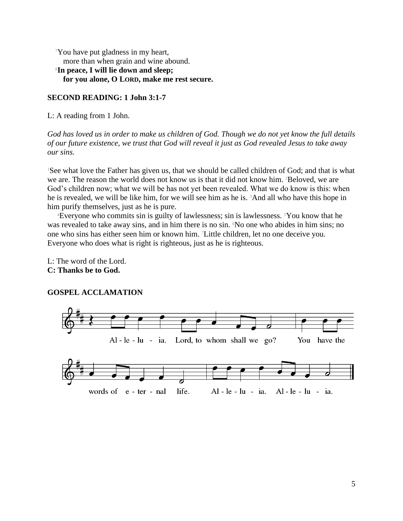<sup>7</sup>You have put gladness in my heart, more than when grain and wine abound. <sup>8</sup>**In peace, I will lie down and sleep; for you alone, O LORD, make me rest secure.**

#### **SECOND READING: 1 John 3:1-7**

L: A reading from 1 John.

*God has loved us in order to make us children of God. Though we do not yet know the full details of our future existence, we trust that God will reveal it just as God revealed Jesus to take away our sins.*

<sup>1</sup>See what love the Father has given us, that we should be called children of God; and that is what we are. The reason the world does not know us is that it did not know him. <sup>2</sup>Beloved, we are God's children now; what we will be has not yet been revealed. What we do know is this: when he is revealed, we will be like him, for we will see him as he is. 3And all who have this hope in him purify themselves, just as he is pure.

<sup>4</sup>Everyone who commits sin is guilty of lawlessness; sin is lawlessness. 5You know that he was revealed to take away sins, and in him there is no sin. No one who abides in him sins; no one who sins has either seen him or known him. 7Little children, let no one deceive you. Everyone who does what is right is righteous, just as he is righteous.

L: The word of the Lord. **C: Thanks be to God.**

#### **GOSPEL ACCLAMATION**

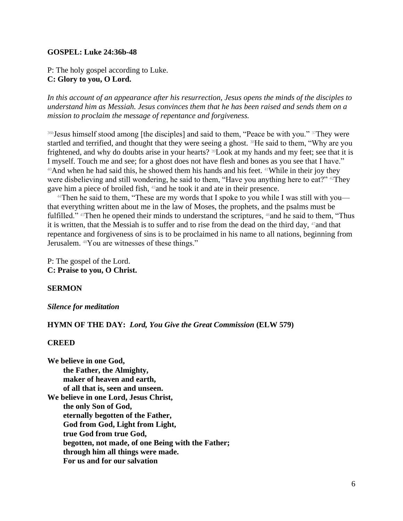#### **GOSPEL: Luke 24:36b-48**

P: The holy gospel according to Luke. **C: Glory to you, O Lord.**

*In this account of an appearance after his resurrection, Jesus opens the minds of the disciples to understand him as Messiah. Jesus convinces them that he has been raised and sends them on a mission to proclaim the message of repentance and forgiveness.*

<sup>36b</sup>Jesus himself stood among [the disciples] and said to them, "Peace be with you." <sup>37</sup>They were startled and terrified, and thought that they were seeing a ghost. <sup>38</sup>He said to them, "Why are you frightened, and why do doubts arise in your hearts? 39Look at my hands and my feet; see that it is I myself. Touch me and see; for a ghost does not have flesh and bones as you see that I have."  $40$ And when he had said this, he showed them his hands and his feet.  $41$ While in their joy they were disbelieving and still wondering, he said to them, "Have you anything here to eat?"  $42$ They gave him a piece of broiled fish, 43and he took it and ate in their presence.

<sup>44</sup>Then he said to them, "These are my words that I spoke to you while I was still with you that everything written about me in the law of Moses, the prophets, and the psalms must be fulfilled." <sup>45</sup>Then he opened their minds to understand the scriptures, <sup>46</sup>and he said to them, "Thus it is written, that the Messiah is to suffer and to rise from the dead on the third day, 47and that repentance and forgiveness of sins is to be proclaimed in his name to all nations, beginning from Jerusalem. <sup>48</sup>You are witnesses of these things."

P: The gospel of the Lord. **C: Praise to you, O Christ.**

#### **SERMON**

#### *Silence for meditation*

#### **HYMN OF THE DAY:** *Lord, You Give the Great Commission* **(ELW 579)**

#### **CREED**

**We believe in one God, the Father, the Almighty, maker of heaven and earth, of all that is, seen and unseen. We believe in one Lord, Jesus Christ, the only Son of God, eternally begotten of the Father, God from God, Light from Light, true God from true God, begotten, not made, of one Being with the Father; through him all things were made. For us and for our salvation**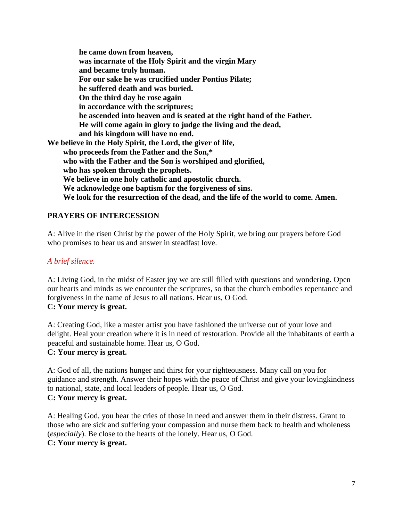**he came down from heaven, was incarnate of the Holy Spirit and the virgin Mary and became truly human. For our sake he was crucified under Pontius Pilate; he suffered death and was buried. On the third day he rose again in accordance with the scriptures; he ascended into heaven and is seated at the right hand of the Father. He will come again in glory to judge the living and the dead, and his kingdom will have no end. We believe in the Holy Spirit, the Lord, the giver of life, who proceeds from the Father and the Son,\* who with the Father and the Son is worshiped and glorified, who has spoken through the prophets. We believe in one holy catholic and apostolic church. We acknowledge one baptism for the forgiveness of sins. We look for the resurrection of the dead, and the life of the world to come. Amen.**

## **PRAYERS OF INTERCESSION**

A: Alive in the risen Christ by the power of the Holy Spirit, we bring our prayers before God who promises to hear us and answer in steadfast love.

## *A brief silence.*

A: Living God, in the midst of Easter joy we are still filled with questions and wondering. Open our hearts and minds as we encounter the scriptures, so that the church embodies repentance and forgiveness in the name of Jesus to all nations. Hear us, O God. **C: Your mercy is great.**

A: Creating God, like a master artist you have fashioned the universe out of your love and delight. Heal your creation where it is in need of restoration. Provide all the inhabitants of earth a peaceful and sustainable home. Hear us, O God. **C: Your mercy is great.**

A: God of all, the nations hunger and thirst for your righteousness. Many call on you for guidance and strength. Answer their hopes with the peace of Christ and give your lovingkindness to national, state, and local leaders of people. Hear us, O God. **C: Your mercy is great.**

A: Healing God, you hear the cries of those in need and answer them in their distress. Grant to those who are sick and suffering your compassion and nurse them back to health and wholeness (*especially*). Be close to the hearts of the lonely. Hear us, O God. **C: Your mercy is great.**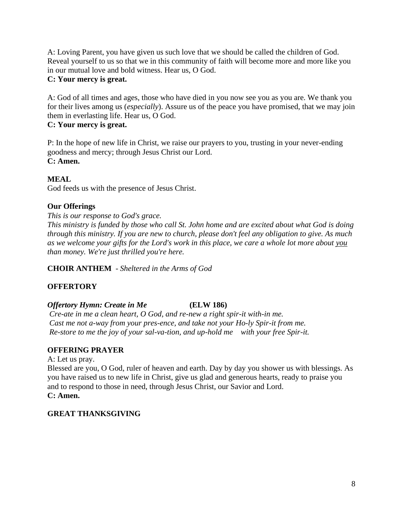A: Loving Parent, you have given us such love that we should be called the children of God. Reveal yourself to us so that we in this community of faith will become more and more like you in our mutual love and bold witness. Hear us, O God.

## **C: Your mercy is great.**

A: God of all times and ages, those who have died in you now see you as you are. We thank you for their lives among us (*especially*). Assure us of the peace you have promised, that we may join them in everlasting life. Hear us, O God.

### **C: Your mercy is great.**

P: In the hope of new life in Christ, we raise our prayers to you, trusting in your never-ending goodness and mercy; through Jesus Christ our Lord. **C: Amen.**

## **MEAL**

God feeds us with the presence of Jesus Christ.

## **Our Offerings**

### *This is our response to God's grace.*

*This ministry is funded by those who call St. John home and are excited about what God is doing through this ministry. If you are new to church, please don't feel any obligation to give. As much as we welcome your gifts for the Lord's work in this place, we care a whole lot more about you than money. We're just thrilled you're here.* 

**CHOIR ANTHEM** - *Sheltered in the Arms of God*

## **OFFERTORY**

## *Offertory Hymn: Create in Me* **(ELW 186)**

*Cre-ate in me a clean heart, O God, and re-new a right spir-it with-in me. Cast me not a-way from your pres-ence, and take not your Ho-ly Spir-it from me. Re-store to me the joy of your sal-va-tion, and up-hold me with your free Spir-it.*

## **OFFERING PRAYER**

A: Let us pray.

Blessed are you, O God, ruler of heaven and earth. Day by day you shower us with blessings. As you have raised us to new life in Christ, give us glad and generous hearts, ready to praise you and to respond to those in need, through Jesus Christ, our Savior and Lord. **C: Amen.**

## **GREAT THANKSGIVING**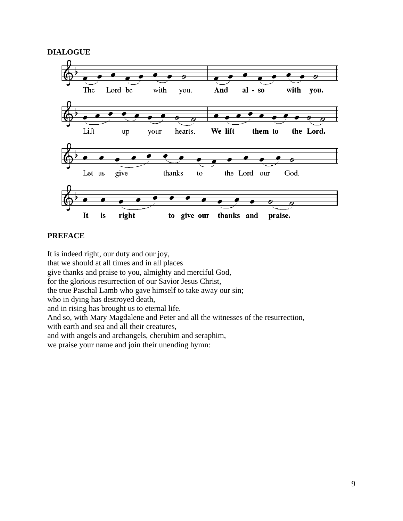### **DIALOGUE**



#### **PREFACE**

It is indeed right, our duty and our joy, that we should at all times and in all places give thanks and praise to you, almighty and merciful God, for the glorious resurrection of our Savior Jesus Christ, the true Paschal Lamb who gave himself to take away our sin; who in dying has destroyed death, and in rising has brought us to eternal life. And so, with Mary Magdalene and Peter and all the witnesses of the resurrection, with earth and sea and all their creatures, and with angels and archangels, cherubim and seraphim, we praise your name and join their unending hymn: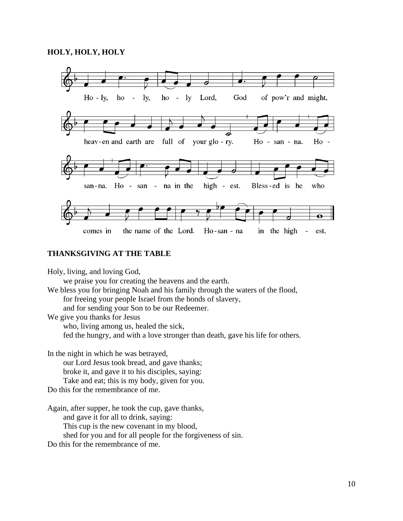

#### **THANKSGIVING AT THE TABLE**

Holy, living, and loving God,

we praise you for creating the heavens and the earth.

We bless you for bringing Noah and his family through the waters of the flood,

for freeing your people Israel from the bonds of slavery,

and for sending your Son to be our Redeemer.

We give you thanks for Jesus

who, living among us, healed the sick,

fed the hungry, and with a love stronger than death, gave his life for others.

In the night in which he was betrayed,

our Lord Jesus took bread, and gave thanks;

broke it, and gave it to his disciples, saying:

Take and eat; this is my body, given for you.

Do this for the remembrance of me.

Again, after supper, he took the cup, gave thanks,

and gave it for all to drink, saying:

This cup is the new covenant in my blood,

shed for you and for all people for the forgiveness of sin.

Do this for the remembrance of me.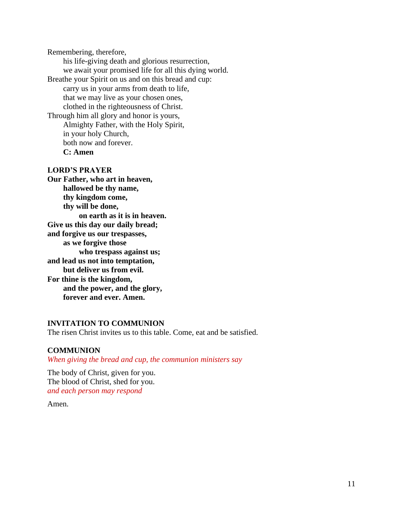Remembering, therefore, his life-giving death and glorious resurrection, we await your promised life for all this dying world. Breathe your Spirit on us and on this bread and cup: carry us in your arms from death to life, that we may live as your chosen ones, clothed in the righteousness of Christ. Through him all glory and honor is yours, Almighty Father, with the Holy Spirit, in your holy Church, both now and forever. **C: Amen**

#### **LORD'S PRAYER**

**Our Father, who art in heaven, hallowed be thy name, thy kingdom come, thy will be done, on earth as it is in heaven. Give us this day our daily bread; and forgive us our trespasses, as we forgive those who trespass against us; and lead us not into temptation, but deliver us from evil. For thine is the kingdom, and the power, and the glory, forever and ever. Amen.**

#### **INVITATION TO COMMUNION**

The risen Christ invites us to this table. Come, eat and be satisfied.

#### **COMMUNION**

*When giving the bread and cup, the communion ministers say*

The body of Christ, given for you. The blood of Christ, shed for you. *and each person may respond*

Amen.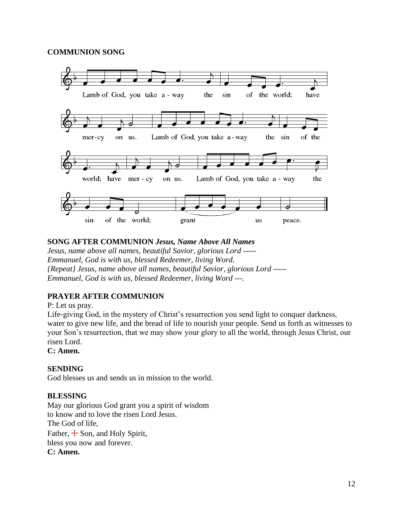### **COMMUNION SONG**



### **SONG AFTER COMMUNION** *Jesus, Name Above All Names*

*Jesus, name above all names, beautiful Savior, glorious Lord ----- Emmanuel, God is with us, blessed Redeemer, living Word. {Repeat} Jesus, name above all names, beautiful Savior, glorious Lord ----- Emmanuel, God is with us, blessed Redeemer, living Word ---.*

## **PRAYER AFTER COMMUNION**

P: Let us pray.

Life-giving God, in the mystery of Christ's resurrection you send light to conquer darkness, water to give new life, and the bread of life to nourish your people. Send us forth as witnesses to your Son's resurrection, that we may show your glory to all the world, through Jesus Christ, our risen Lord.

### **C: Amen.**

#### **SENDING**

God blesses us and sends us in mission to the world.

#### **BLESSING**

May our glorious God grant you a spirit of wisdom to know and to love the risen Lord Jesus. The God of life, Father,  $\pm$  Son, and Holy Spirit, bless you now and forever. **C: Amen.**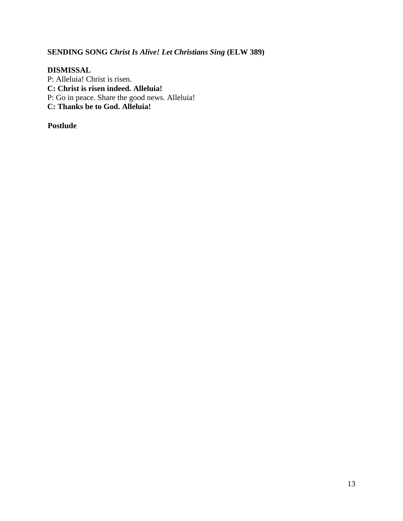# **SENDING SONG** *Christ Is Alive! Let Christians Sing* **(ELW 389)**

### **DISMISSAL**

P: Alleluia! Christ is risen. **C: Christ is risen indeed. Alleluia!** P: Go in peace. Share the good news. Alleluia! **C: Thanks be to God. Alleluia!**

**Postlude**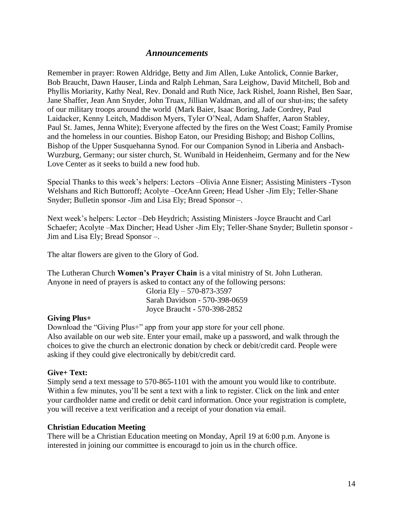## *Announcements*

Remember in prayer: Rowen Aldridge, Betty and Jim Allen, Luke Antolick, Connie Barker, Bob Braucht, Dawn Hauser, Linda and Ralph Lehman, Sara Leighow, David Mitchell, Bob and Phyllis Moriarity, Kathy Neal, Rev. Donald and Ruth Nice, Jack Rishel, Joann Rishel, Ben Saar, Jane Shaffer, Jean Ann Snyder, John Truax, Jillian Waldman, and all of our shut-ins; the safety of our military troops around the world (Mark Baier, Isaac Boring, Jade Cordrey, Paul Laidacker, Kenny Leitch, Maddison Myers, Tyler O'Neal, Adam Shaffer, Aaron Stabley, Paul St. James, Jenna White); Everyone affected by the fires on the West Coast; Family Promise and the homeless in our counties. Bishop Eaton, our Presiding Bishop; and Bishop Collins, Bishop of the Upper Susquehanna Synod. For our Companion Synod in Liberia and Ansbach-Wurzburg, Germany; our sister church, St. Wunibald in Heidenheim, Germany and for the New Love Center as it seeks to build a new food hub.

Special Thanks to this week's helpers: Lectors –Olivia Anne Eisner; Assisting Ministers -Tyson Welshans and Rich Buttoroff; Acolyte –OceAnn Green; Head Usher -Jim Ely; Teller-Shane Snyder; Bulletin sponsor -Jim and Lisa Ely; Bread Sponsor –.

Next week's helpers: Lector –Deb Heydrich; Assisting Ministers -Joyce Braucht and Carl Schaefer; Acolyte –Max Dincher; Head Usher -Jim Ely; Teller-Shane Snyder; Bulletin sponsor - Jim and Lisa Ely; Bread Sponsor –.

The altar flowers are given to the Glory of God.

The Lutheran Church **Women's Prayer Chain** is a vital ministry of St. John Lutheran. Anyone in need of prayers is asked to contact any of the following persons:

> Gloria Ely – 570-873-3597 Sarah Davidson - 570-398-0659 Joyce Braucht - 570-398-2852

#### **Giving Plus+**

Download the "Giving Plus+" app from your app store for your cell phone. Also available on our web site. Enter your email, make up a password, and walk through the choices to give the church an electronic donation by check or debit/credit card. People were asking if they could give electronically by debit/credit card.

#### **Give+ Text:**

Simply send a text message to 570-865-1101 with the amount you would like to contribute. Within a few minutes, you'll be sent a text with a link to register. Click on the link and enter your cardholder name and credit or debit card information. Once your registration is complete, you will receive a text verification and a receipt of your donation via email.

#### **Christian Education Meeting**

There will be a Christian Education meeting on Monday, April 19 at 6:00 p.m. Anyone is interested in joining our committee is encouragd to join us in the church office.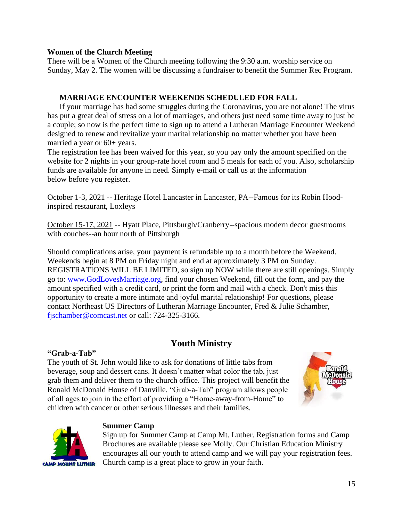#### **Women of the Church Meeting**

There will be a Women of the Church meeting following the 9:30 a.m. worship service on Sunday, May 2. The women will be discussing a fundraiser to benefit the Summer Rec Program.

### **MARRIAGE ENCOUNTER WEEKENDS SCHEDULED FOR FALL**

If your marriage has had some struggles during the Coronavirus, you are not alone! The virus has put a great deal of stress on a lot of marriages, and others just need some time away to just be a couple; so now is the perfect time to sign up to attend a Lutheran Marriage Encounter Weekend designed to renew and revitalize your marital relationship no matter whether you have been married a year or 60+ years.

The registration fee has been waived for this year, so you pay only the amount specified on the website for 2 nights in your group-rate hotel room and 5 meals for each of you. Also, scholarship funds are available for anyone in need. Simply e-mail or call us at the information below before you register.

October 1-3, 2021 -- Heritage Hotel Lancaster in Lancaster, PA--Famous for its Robin Hoodinspired restaurant, Loxleys

October 15-17, 2021 -- Hyatt Place, Pittsburgh/Cranberry--spacious modern decor guestrooms with couches--an hour north of Pittsburgh

Should complications arise, your payment is refundable up to a month before the Weekend. Weekends begin at 8 PM on Friday night and end at approximately 3 PM on Sunday. REGISTRATIONS WILL BE LIMITED, so sign up NOW while there are still openings. Simply go to: [www.GodLovesMarriage.org,](http://www.godlovesmarriage.org/) find your chosen Weekend, fill out the form, and pay the amount specified with a credit card, or print the form and mail with a check. Don't miss this opportunity to create a more intimate and joyful marital relationship! For questions, please contact Northeast US Directors of Lutheran Marriage Encounter, Fred & Julie Schamber, [fjschamber@comcast.net](mailto:fjschamber@comcast.net) or call: 724-325-3166.

# **Youth Ministry**

#### **"Grab-a-Tab"**

The youth of St. John would like to ask for donations of little tabs from beverage, soup and dessert cans. It doesn't matter what color the tab, just grab them and deliver them to the church office. This project will benefit the Ronald McDonald House of Danville. "Grab-a-Tab" program allows people of all ages to join in the effort of providing a "Home-away-from-Home" to children with cancer or other serious illnesses and their families.





## **Summer Camp**

Sign up for Summer Camp at Camp Mt. Luther. Registration forms and Camp Brochures are available please see Molly. Our Christian Education Ministry encourages all our youth to attend camp and we will pay your registration fees. Church camp is a great place to grow in your faith.